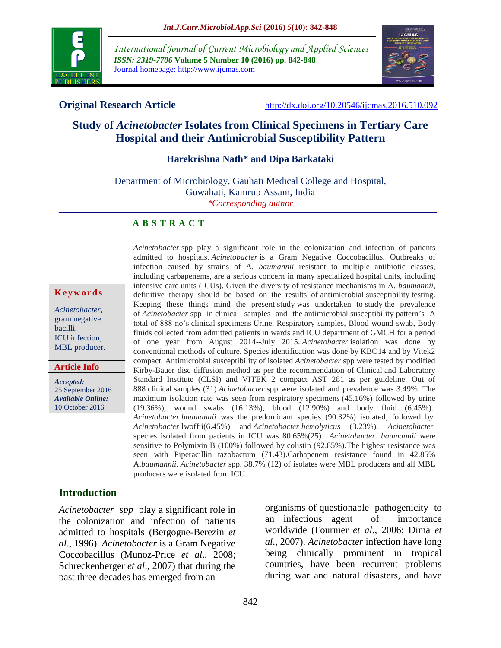

*International Journal of Current Microbiology and Applied Sciences ISSN: 2319-7706* **Volume 5 Number 10 (2016) pp. 842-848** Journal homepage: http://www.ijcmas.com



**Original Research Article** <http://dx.doi.org/10.20546/ijcmas.2016.510.092>

# **Study of** *Acinetobacter* **Isolates from Clinical Specimens in Tertiary Care Hospital and their Antimicrobial Susceptibility Pattern**

#### **Harekrishna Nath\* and Dipa Barkataki**

Department of Microbiology, Gauhati Medical College and Hospital, Guwahati, Kamrup Assam, India *\*Corresponding author*

#### **A B S T R A C T**

#### **K e y w o r d s**

*Acinetobacter*, gram negative bacilli, ICU infection, MBL producer.

**Article Info**

*Accepted:*  25 September 2016 *Available Online:* 10 October 2016

*Acinetobacter* spp play a significant role in the colonization and infection of patients admitted to hospitals. *Acinetobacter* is a Gram Negative Coccobacillus. Outbreaks of infection caused by strains of A. *baumannii* resistant to multiple antibiotic classes, including carbapenems, are a serious concern in many specialized hospital units, including intensive care units (ICUs). Given the diversity of resistance mechanisms in A. *baumannii*, definitive therapy should be based on the results of antimicrobial susceptibility testing. Keeping these things mind the present study was undertaken to study the prevalence of *Acinetobacter* spp in clinical samples and the antimicrobial susceptibility pattern's A total of 888 no's clinical specimens Urine, Respiratory samples, Blood wound swab, Body fluids collected from admitted patients in wards and ICU department of GMCH for a period of one year from August 2014--July 2015. *Acinetobacter* isolation was done by conventional methods of culture. Species identification was done by KBO14 and by Vitek2 compact. Antimicrobial susceptibility of isolated *Acinetobacter* spp were tested by modified Kirby-Bauer disc diffusion method as per the recommendation of Clinical and Laboratory Standard Institute (CLSI) and VITEK 2 compact AST 281 as per guideline. Out of 888 clinical samples (31) *Acinetobacter* spp were isolated and prevalence was 3.49%. The maximum isolation rate was seen from respiratory specimens (45.16%) followed by urine (19.36%), wound swabs (16.13%), blood (12.90%) and body fluid (6.45%). *Acinetobacter baumannii* was the predominant species (90.32%) isolated, followed by *Acinetobacter* lwoffii(6.45%) and *Acinetobacter hemolyticus* (3.23%). *Acinetobacter* species isolated from patients in ICU was 80.65%(25). *Acinetobacter baumannii* were sensitive to Polymixin B (100%) followed by colistin (92.85%).The highest resistance was seen with Piperacillin tazobactum (71.43).Carbapenem resistance found in 42.85% A.*baumannii*. *Acinetobacter* spp. 38.7% (12) of isolates were MBL producers and all MBL producers were isolated from ICU.

### **Introduction**

*Acinetobacter spp* play a significant role in the colonization and infection of patients admitted to hospitals (Bergogne-Berezin *et al*., 1996). *Acinetobacter* is a Gram Negative Coccobacillus (Munoz-Price *et al*., 2008; Schreckenberger *et al*., 2007) that during the past three decades has emerged from an

organisms of questionable pathogenicity to an infectious agent of importance worldwide (Fournier *et al*., 2006; Dima *et al*., 2007). *Acinetobacter* infection have long being clinically prominent in tropical countries, have been recurrent problems during war and natural disasters, and have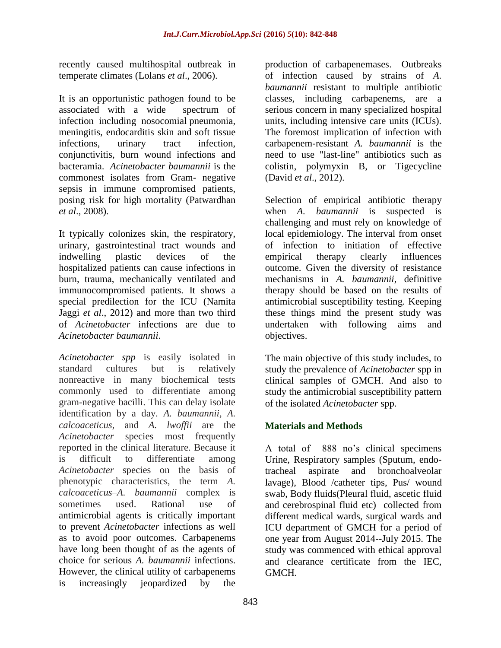recently caused multihospital outbreak in temperate climates (Lolans *et al*., 2006).

It is an opportunistic pathogen found to be associated with a wide spectrum of infection including nosocomial pneumonia, meningitis, endocarditis skin and soft tissue infections, urinary tract infection, conjunctivitis, burn wound infections and bacteramia. *Acinetobacter baumannii* is the commonest isolates from Gram- negative sepsis in immune compromised patients, posing risk for high mortality (Patwardhan *et al*., 2008).

It typically colonizes skin, the respiratory, urinary, gastrointestinal tract wounds and indwelling plastic devices of the hospitalized patients can cause infections in burn, trauma, mechanically ventilated and immunocompromised patients. It shows a special predilection for the ICU (Namita Jaggi *et al*., 2012) and more than two third of *Acinetobacter* infections are due to *Acinetobacter baumannii*.

*Acinetobacter spp* is easily isolated in standard cultures but is relatively nonreactive in many biochemical tests commonly used to differentiate among gram-negative bacilli. This can delay isolate identification by a day. *A. baumannii, A. calcoaceticus,* and *A. lwoffii* are the *Acinetobacter* species most frequently reported in the clinical literature. Because it is difficult to differentiate among *Acinetobacter* species on the basis of phenotypic characteristics, the term *A. calcoaceticus–A. baumannii* complex is sometimes used. Rational use of antimicrobial agents is critically important to prevent *Acinetobacter* infections as well as to avoid poor outcomes. Carbapenems have long been thought of as the agents of choice for serious *A. baumannii* infections. However, the clinical utility of carbapenems is increasingly jeopardized by the

production of carbapenemases. Outbreaks of infection caused by strains of *A. baumannii* resistant to multiple antibiotic classes, including carbapenems, are a serious concern in many specialized hospital units, including intensive care units (ICUs). The foremost implication of infection with carbapenem-resistant *A. baumannii* is the need to use "last-line" antibiotics such as colistin, polymyxin B, or Tigecycline (David *et al*., 2012).

Selection of empirical antibiotic therapy when *A. baumannii* is suspected is challenging and must rely on knowledge of local epidemiology. The interval from onset of infection to initiation of effective empirical therapy clearly influences outcome. Given the diversity of resistance mechanisms in *A. baumannii*, definitive therapy should be based on the results of antimicrobial susceptibility testing. Keeping these things mind the present study was undertaken with following aims and objectives.

The main objective of this study includes, to study the prevalence of *Acinetobacter* spp in clinical samples of GMCH. And also to study the antimicrobial susceptibility pattern of the isolated *Acinetobacter* spp.

# **Materials and Methods**

A total of 888 no's clinical specimens Urine, Respiratory samples (Sputum, endotracheal aspirate and bronchoalveolar lavage), Blood /catheter tips, Pus/ wound swab, Body fluids(Pleural fluid, ascetic fluid and cerebrospinal fluid etc) collected from different medical wards, surgical wards and ICU department of GMCH for a period of one year from August 2014--July 2015. The study was commenced with ethical approval and clearance certificate from the IEC, GMCH.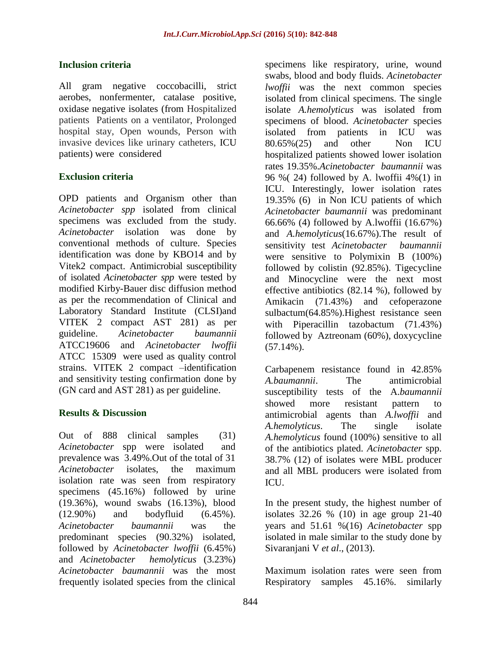### **Inclusion criteria**

All gram negative coccobacilli, strict aerobes, nonfermenter, catalase positive, oxidase negative isolates (from Hospitalized patients Patients on a ventilator, Prolonged hospital stay, Open wounds, Person with invasive devices like urinary catheters, ICU patients) were considered

# **Exclusion criteria**

OPD patients and Organism other than *Acinetobacter spp* isolated from clinical specimens was excluded from the study. *Acinetobacter* isolation was done by conventional methods of culture. Species identification was done by KBO14 and by Vitek2 compact. Antimicrobial susceptibility of isolated *Acinetobacter spp* were tested by modified Kirby-Bauer disc diffusion method as per the recommendation of Clinical and Laboratory Standard Institute (CLSI)and VITEK 2 compact AST 281) as per guideline. *Acinetobacter baumannii* ATCC19606 and *Acinetobacter lwoffii* ATCC 15309 were used as quality control strains. VITEK 2 compact –identification and sensitivity testing confirmation done by (GN card and AST 281) as per guideline.

### **Results & Discussion**

Out of 888 clinical samples (31) *Acinetobacter* spp were isolated and prevalence was 3.49%.Out of the total of 31 *Acinetobacter* isolates, the maximum isolation rate was seen from respiratory specimens (45.16%) followed by urine (19.36%), wound swabs (16.13%), blood (12.90%) and bodyfluid (6.45%). *Acinetobacter baumannii* was the predominant species (90.32%) isolated, followed by *Acinetobacter lwoffii* (6.45%) and *Acinetobacter hemolyticus* (3.23%) *Acinetobacter baumannii* was the most frequently isolated species from the clinical

specimens like respiratory, urine, wound swabs, blood and body fluids. *Acinetobacter lwoffii* was the next common species isolated from clinical specimens. The single isolate *A.hemolyticus* was isolated from specimens of blood. *Acinetobacter* species isolated from patients in ICU was 80.65%(25) and other Non ICU hospitalized patients showed lower isolation rates 19.35%.*Acinetobacter baumannii* was 96 %( 24) followed by A. lwoffii 4%(1) in ICU. Interestingly, lower isolation rates 19.35% (6) in Non ICU patients of which *Acinetobacter baumannii* was predominant 66.66% (4) followed by A.lwoffii (16.67%) and *A.hemolyticus*(16.67%).The result of sensitivity test *Acinetobacter baumannii* were sensitive to Polymixin B (100%) followed by colistin (92.85%). Tigecycline and Minocycline were the next most effective antibiotics (82.14 %), followed by Amikacin (71.43%) and cefoperazone sulbactum(64.85%).Highest resistance seen with Piperacillin tazobactum (71.43%) followed by Aztreonam (60%), doxycycline (57.14%).

Carbapenem resistance found in 42.85% *A.baumannii*. The antimicrobial susceptibility tests of the A.*baumannii* showed more resistant pattern to antimicrobial agents than *A.lwoffii* and *A.hemolyticus*. The single isolate *A.hemolyticus* found (100%) sensitive to all of the antibiotics plated. *Acinetobacter* spp. 38.7% (12) of isolates were MBL producer and all MBL producers were isolated from ICU.

In the present study, the highest number of isolates 32.26 % (10) in age group 21-40 years and 51.61 %(16) *Acinetobacter* spp isolated in male similar to the study done by Sivaranjani V *et al*., (2013).

Maximum isolation rates were seen from Respiratory samples 45.16%. similarly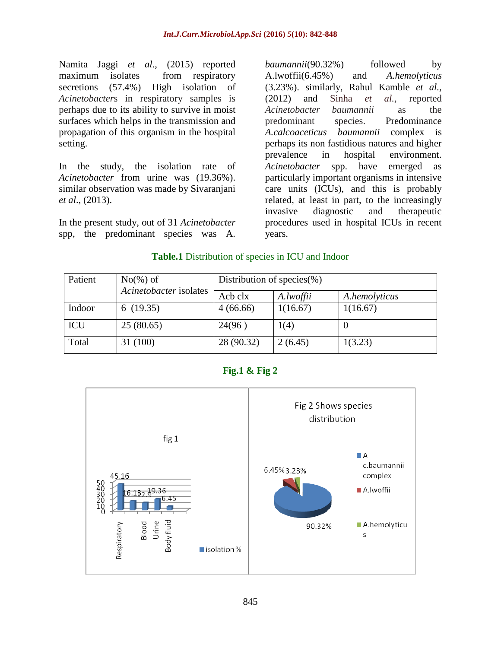Namita Jaggi *et al*., (2015) reported maximum isolates from respiratory secretions (57.4%) High isolation of *Acinetobacter*s in respiratory samples is perhaps due to its ability to survive in moist surfaces which helps in the transmission and propagation of this organism in the hospital setting.

In the study, the isolation rate of *Acinetobacter* from urine was (19.36%). similar observation was made by Sivaranjani *et al*., (2013).

In the present study, out of 31 *Acinetobacter* spp, the predominant species was A.

*baumannii*(90.32%) followed by A.lwoffii(6.45%) and *A.hemolyticus* (3.23%). similarly, Rahul Kamble *et al.,* (2012) and Sinha *et al.,* reported *Acinetobacter baumannii* as the predominant species. Predominance *A.calcoaceticus baumannii* complex is perhaps its non fastidious natures and higher prevalence in hospital environment. *Acinetobacter* spp. have emerged as particularly important organisms in intensive care units (ICUs), and this is probably related, at least in part, to the increasingly invasive diagnostic and therapeutic procedures used in hospital ICUs in recent years.

#### **Table.1** Distribution of species in ICU and Indoor

| Patient    | $No(\%)$ of            | Distribution of species $(\%)$ |           |               |
|------------|------------------------|--------------------------------|-----------|---------------|
|            | Acinetobacter isolates | Acb clx                        | A.lwoffii | A.hemolyticus |
| Indoor     | 6(19.35)               | 4(66.66)                       | 1(16.67)  | 1(16.67)      |
| <b>ICU</b> | 25(80.65)              | 24(96)                         | 1(4)      | U             |
| Total      | 31 (100)               | 28 (90.32)                     | 2(6.45)   | 1(3.23)       |



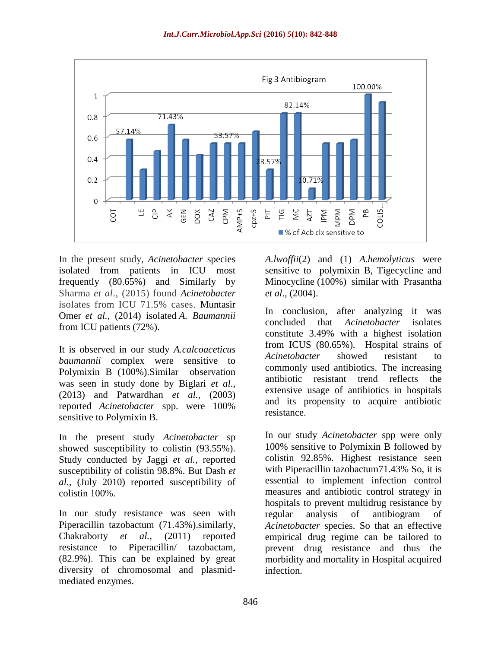

In the present study, *Acinetobacter* species isolated from patients in ICU most frequently (80.65%) and Similarly by Sharma *et al*., (2015) found *Acinetobacter* isolates from ICU 71.5% cases. Muntasir Omer *et al.,* (2014) isolated *A. Baumannii* from ICU patients (72%).

It is observed in our study *A.calcoaceticus baumannii* complex were sensitive to Polymixin B (100%).Similar observation was seen in study done by Biglari *et al*., (2013) and Patwardhan *et al.,* (2003) reported *Acinetobacter* spp. were 100% sensitive to Polymixin B.

In the present study *Acinetobacter* sp showed susceptibility to colistin (93.55%). Study conducted by Jaggi *et al.,* reported susceptibility of colistin 98.8%. But Dash *et al.,* (July 2010) reported susceptibility of colistin 100%.

In our study resistance was seen with Piperacillin tazobactum (71.43%).similarly, Chakraborty *et al.,* (2011) reported resistance to Piperacillin/ tazobactam, (82.9%). This can be explained by great diversity of chromosomal and plasmidmediated enzymes.

*A.lwoffii*(2) and (1) *A.hemolyticus* were sensitive to polymixin B, Tigecycline and Minocycline (100%) similar with Prasantha *et al*., (2004).

In conclusion, after analyzing it was concluded that *Acinetobacter* isolates constitute 3.49% with a highest isolation from ICUS (80.65%). Hospital strains of *Acinetobacter* showed resistant to commonly used antibiotics. The increasing antibiotic resistant trend reflects the extensive usage of antibiotics in hospitals and its propensity to acquire antibiotic resistance.

In our study *Acinetobacter* spp were only 100% sensitive to Polymixin B followed by colistin 92.85%. Highest resistance seen with Piperacillin tazobactum71.43% So, it is essential to implement infection control measures and antibiotic control strategy in hospitals to prevent multidrug resistance by regular analysis of antibiogram of *Acinetobacter* species. So that an effective empirical drug regime can be tailored to prevent drug resistance and thus the morbidity and mortality in Hospital acquired infection.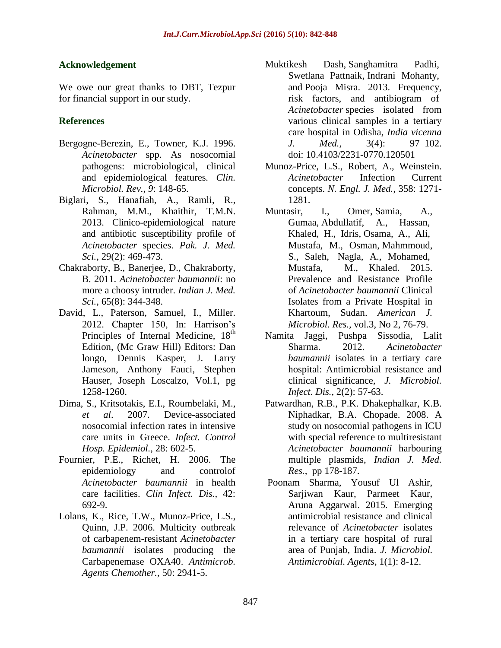# **Acknowledgement**

We owe our great thanks to DBT, Tezpur for financial support in our study.

# **References**

- Bergogne-Berezin, E., Towner, K.J. 1996. *Acinetobacter* spp. As nosocomial pathogens: microbiological, clinical and epidemiological features*. Clin. Microbiol. Rev., 9*: 148-65.
- Biglari, S., Hanafiah, A., Ramli, R., Rahman, M.M., Khaithir, T.M.N. 2013. Clinico-epidemiological nature and antibiotic susceptibility profile of *Acinetobacter* species. *Pak. J. Med. Sci.,* 29(2): 469-473.
- Chakraborty, B., Banerjee, D., Chakraborty, B. 2011. *Acinetobacter baumannii*: no more a choosy intruder. *Indian J. Med. Sci.,* 65(8): 344-348.
- David, L., Paterson, Samuel, I., Miller. 2012. Chapter 150, In: Harrison's Principles of Internal Medicine, 18<sup>th</sup> Edition, (Mc Graw Hill) Editors: Dan longo, Dennis Kasper, J. Larry Jameson, Anthony Fauci, Stephen Hauser, Joseph Loscalzo, Vol.1, pg 1258-1260.
- Dima, S., Kritsotakis, E.I., Roumbelaki, M., *et al*. 2007. Device-associated nosocomial infection rates in intensive care units in Greece. *Infect. Control Hosp. Epidemiol.,* 28: 602-5.
- Fournier, P.E., Richet, H. 2006. The epidemiology and controlof *Acinetobacter baumannii* in health care facilities. *Clin Infect. Dis.,* 42: 692-9.
- Lolans, K., Rice, T.W., Munoz-Price, L.S., Quinn, J.P. 2006. Multicity outbreak of carbapenem-resistant *Acinetobacter baumannii* isolates producing the Carbapenemase OXA40. *Antimicrob. Agents Chemother.,* 50: 2941-5.
- [Muktikesh Dash,](http://www.ncbi.nlm.nih.gov/pubmed/?term=Dash%20M%5Bauth%5D) [Sanghamitra Padhi,](http://www.ncbi.nlm.nih.gov/pubmed/?term=Padhi%20S%5Bauth%5D) [Swetlana Pattnaik,](http://www.ncbi.nlm.nih.gov/pubmed/?term=Pattnaik%20S%5Bauth%5D) [Indrani Mohanty,](http://www.ncbi.nlm.nih.gov/pubmed/?term=Mohanty%20I%5Bauth%5D) and [Pooja Misra.](http://www.ncbi.nlm.nih.gov/pubmed/?term=Misra%20P%5Bauth%5D) 2013. Frequency, risk factors, and antibiogram of *Acinetobacter* species isolated from various clinical samples in a tertiary care hospital in Odisha, *India vicenna J. Med.,* 3(4): 97–102. doi: 10.4103/2231-0770.120501
- Munoz-Price, L.S., Robert, A., Weinstein. *Acinetobacter* Infection Current concepts. *N. Engl. J. Med.,* 358: 1271- 1281.
- Muntasir, I., Omer, Samia, A., Gumaa, Abdullatif, A., Hassan, Khaled, H., Idris, Osama, A., Ali, Mustafa, M., Osman, Mahmmoud, S., Saleh, Nagla, A., Mohamed, Mustafa, M., Khaled. 2015. Prevalence and Resistance Profile of *Acinetobacter baumannii* Clinical Isolates from a Private Hospital in Khartoum, Sudan. *American J. Microbiol. Res.,* vol.3, No 2, 76-79.
- Namita Jaggi, Pushpa Sissodia, Lalit Sharma. 2012. *Acinetobacter baumannii* isolates in a tertiary care hospital: Antimicrobial resistance and clinical significance, *J. Microbiol. Infect. Dis.,* 2(2): 57-63.
- Patwardhan, R.B., P.K. Dhakephalkar, K.B. Niphadkar, B.A. Chopade. 2008. A study on nosocomial pathogens in ICU with special reference to multiresistant *Acinetobacter baumannii* harbouring multiple plasmids, *Indian J. Med. Res.,* pp 178-187.
- Poonam Sharma, Yousuf Ul Ashir, Sarjiwan Kaur, Parmeet Kaur, Aruna Aggarwal. 2015. Emerging antimicrobial resistance and clinical relevance of *Acinetobacter* isolates in a tertiary care hospital of rural area of Punjab, India. *J. Microbiol. Antimicrobial. Agents,* 1(1): 8-12.